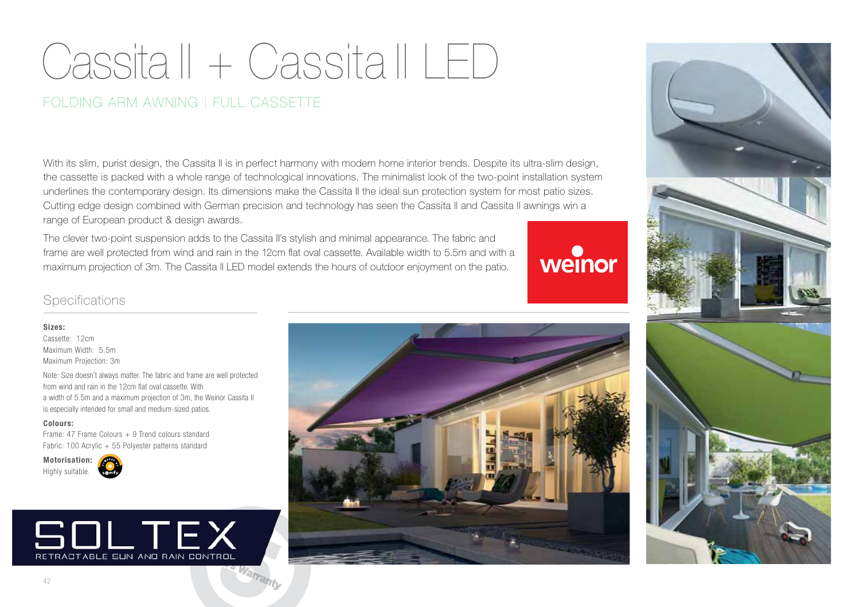# Cassita ll + Cassita ll LED

## FOLDING ARM AWNING | FULL CASSETTE

With its slim, purist design, the Cassita II is in perfect harmony with modern home interior trends. Despite its ultra-slim design, the cassette is packed with a whole range of technological innovations. The minimalist look of the two-point installation system underlines the contemporary design. Its dimensions make the Cassita II the ideal sun protection system for most patio sizes. Cutting edge design combined with German precision and technology has seen the Cassita ll and Cassita ll awnings win a range of European product & design awards.

The clever two-point suspension adds to the Cassita II's stylish and minimal appearance. The fabric and frame are well protected from wind and rain in the 12cm flat oval cassette. Available width to 5.5m and with a maximum projection of 3m. The Cassita ll LED model extends the hours of outdoor enjoyment on the patio.

weinor

### **Specifications**

**Sizes:**Cassette: 12cmMaximum Width: 5.5mMaximum Projection: 3m

ivole: Size doesn't always matter. The fabric and frame<br>from wind and rain in the 12cm flat oval cassette. With Note: Size doesn't always matter. The fabric and frame are well protected a width of 5.5m and a maximum projection of 3m, the Weinor Cassita II is especially intended for small and medium-sized patios.

#### **Colours:**

Frame: 47 Frame Colours + 9 Trend colours standardFabric: 100 Acrylic + 55 Polyester patterns standard